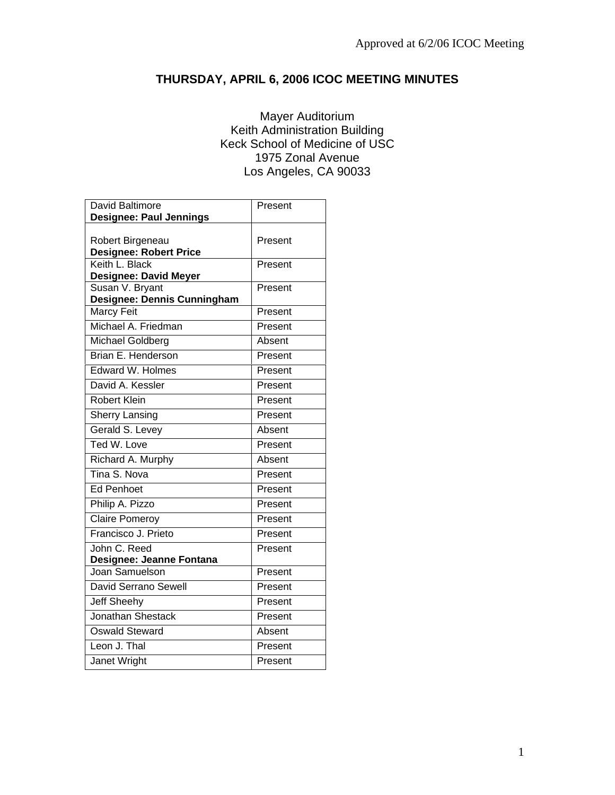# **THURSDAY, APRIL 6, 2006 ICOC MEETING MINUTES**

# Mayer Auditorium Keith Administration Building Keck School of Medicine of USC 1975 Zonal Avenue Los Angeles, CA 90033

| <b>David Baltimore</b>         | Present |
|--------------------------------|---------|
| <b>Designee: Paul Jennings</b> |         |
| Robert Birgeneau               | Present |
| <b>Designee: Robert Price</b>  |         |
| Keith L. Black                 | Present |
| <b>Designee: David Meyer</b>   |         |
| Susan V. Bryant                | Present |
| Designee: Dennis Cunningham    |         |
| <b>Marcy Feit</b>              | Present |
| Michael A. Friedman            | Present |
| Michael Goldberg               | Absent  |
| Brian E. Henderson             | Present |
| Edward W. Holmes               | Present |
| David A. Kessler               | Present |
| <b>Robert Klein</b>            | Present |
| <b>Sherry Lansing</b>          | Present |
| Gerald S. Levey                | Absent  |
| Ted W. Love                    | Present |
| Richard A. Murphy              | Absent  |
| Tina S. Nova                   | Present |
| <b>Ed Penhoet</b>              | Present |
| Philip A. Pizzo                | Present |
| <b>Claire Pomeroy</b>          | Present |
| Francisco J. Prieto            | Present |
| John C. Reed                   | Present |
| Designee: Jeanne Fontana       |         |
| Joan Samuelson                 | Present |
| David Serrano Sewell           | Present |
| <b>Jeff Sheehy</b>             | Present |
| <b>Jonathan Shestack</b>       | Present |
| <b>Oswald Steward</b>          | Absent  |
| Leon J. Thal                   | Present |
| Janet Wright                   | Present |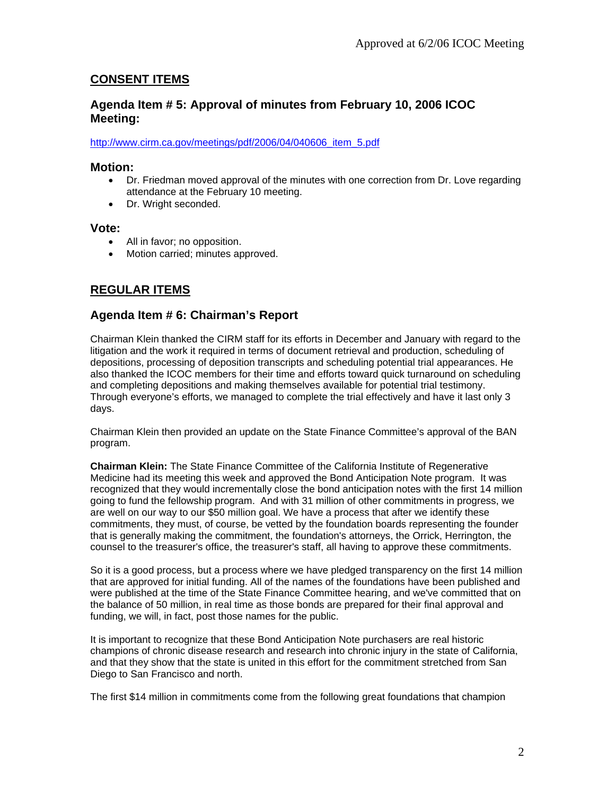# **CONSENT ITEMS**

# **Agenda Item # 5: Approval of minutes from February 10, 2006 ICOC Meeting:**

#### http://www.cirm.ca.gov/meetings/pdf/2006/04/040606\_item\_5.pdf

### **Motion:**

- Dr. Friedman moved approval of the minutes with one correction from Dr. Love regarding attendance at the February 10 meeting.
- Dr. Wright seconded.

#### **Vote:**

- All in favor; no opposition.
- Motion carried; minutes approved.

# **REGULAR ITEMS**

# **Agenda Item # 6: Chairman's Report**

Chairman Klein thanked the CIRM staff for its efforts in December and January with regard to the litigation and the work it required in terms of document retrieval and production, scheduling of depositions, processing of deposition transcripts and scheduling potential trial appearances. He also thanked the ICOC members for their time and efforts toward quick turnaround on scheduling and completing depositions and making themselves available for potential trial testimony. Through everyone's efforts, we managed to complete the trial effectively and have it last only 3 days.

Chairman Klein then provided an update on the State Finance Committee's approval of the BAN program.

**Chairman Klein:** The State Finance Committee of the California Institute of Regenerative Medicine had its meeting this week and approved the Bond Anticipation Note program. It was recognized that they would incrementally close the bond anticipation notes with the first 14 million going to fund the fellowship program. And with 31 million of other commitments in progress, we are well on our way to our \$50 million goal. We have a process that after we identify these commitments, they must, of course, be vetted by the foundation boards representing the founder that is generally making the commitment, the foundation's attorneys, the Orrick, Herrington, the counsel to the treasurer's office, the treasurer's staff, all having to approve these commitments.

So it is a good process, but a process where we have pledged transparency on the first 14 million that are approved for initial funding. All of the names of the foundations have been published and were published at the time of the State Finance Committee hearing, and we've committed that on the balance of 50 million, in real time as those bonds are prepared for their final approval and funding, we will, in fact, post those names for the public.

It is important to recognize that these Bond Anticipation Note purchasers are real historic champions of chronic disease research and research into chronic injury in the state of California, and that they show that the state is united in this effort for the commitment stretched from San Diego to San Francisco and north.

The first \$14 million in commitments come from the following great foundations that champion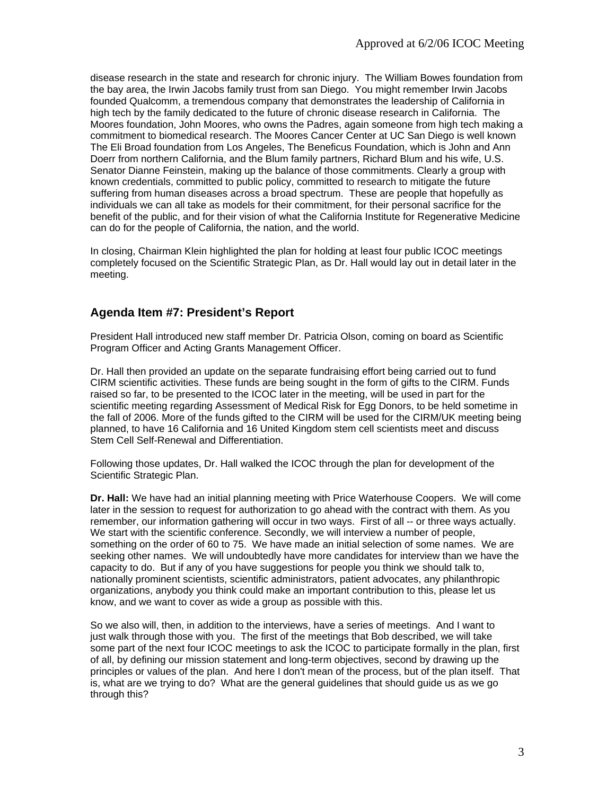disease research in the state and research for chronic injury. The William Bowes foundation from the bay area, the Irwin Jacobs family trust from san Diego. You might remember Irwin Jacobs founded Qualcomm, a tremendous company that demonstrates the leadership of California in high tech by the family dedicated to the future of chronic disease research in California. The Moores foundation, John Moores, who owns the Padres, again someone from high tech making a commitment to biomedical research. The Moores Cancer Center at UC San Diego is well known The Eli Broad foundation from Los Angeles, The Beneficus Foundation, which is John and Ann Doerr from northern California, and the Blum family partners, Richard Blum and his wife, U.S. Senator Dianne Feinstein, making up the balance of those commitments. Clearly a group with known credentials, committed to public policy, committed to research to mitigate the future suffering from human diseases across a broad spectrum. These are people that hopefully as individuals we can all take as models for their commitment, for their personal sacrifice for the benefit of the public, and for their vision of what the California Institute for Regenerative Medicine can do for the people of California, the nation, and the world.

In closing, Chairman Klein highlighted the plan for holding at least four public ICOC meetings completely focused on the Scientific Strategic Plan, as Dr. Hall would lay out in detail later in the meeting.

# **Agenda Item #7: President's Report**

President Hall introduced new staff member Dr. Patricia Olson, coming on board as Scientific Program Officer and Acting Grants Management Officer.

Dr. Hall then provided an update on the separate fundraising effort being carried out to fund CIRM scientific activities. These funds are being sought in the form of gifts to the CIRM. Funds raised so far, to be presented to the ICOC later in the meeting, will be used in part for the scientific meeting regarding Assessment of Medical Risk for Egg Donors, to be held sometime in the fall of 2006. More of the funds gifted to the CIRM will be used for the CIRM/UK meeting being planned, to have 16 California and 16 United Kingdom stem cell scientists meet and discuss Stem Cell Self-Renewal and Differentiation.

Following those updates, Dr. Hall walked the ICOC through the plan for development of the Scientific Strategic Plan.

**Dr. Hall:** We have had an initial planning meeting with Price Waterhouse Coopers. We will come later in the session to request for authorization to go ahead with the contract with them. As you remember, our information gathering will occur in two ways. First of all -- or three ways actually. We start with the scientific conference. Secondly, we will interview a number of people, something on the order of 60 to 75. We have made an initial selection of some names. We are seeking other names. We will undoubtedly have more candidates for interview than we have the capacity to do. But if any of you have suggestions for people you think we should talk to, nationally prominent scientists, scientific administrators, patient advocates, any philanthropic organizations, anybody you think could make an important contribution to this, please let us know, and we want to cover as wide a group as possible with this.

So we also will, then, in addition to the interviews, have a series of meetings. And I want to just walk through those with you. The first of the meetings that Bob described, we will take some part of the next four ICOC meetings to ask the ICOC to participate formally in the plan, first of all, by defining our mission statement and long-term objectives, second by drawing up the principles or values of the plan. And here I don't mean of the process, but of the plan itself. That is, what are we trying to do? What are the general guidelines that should guide us as we go through this?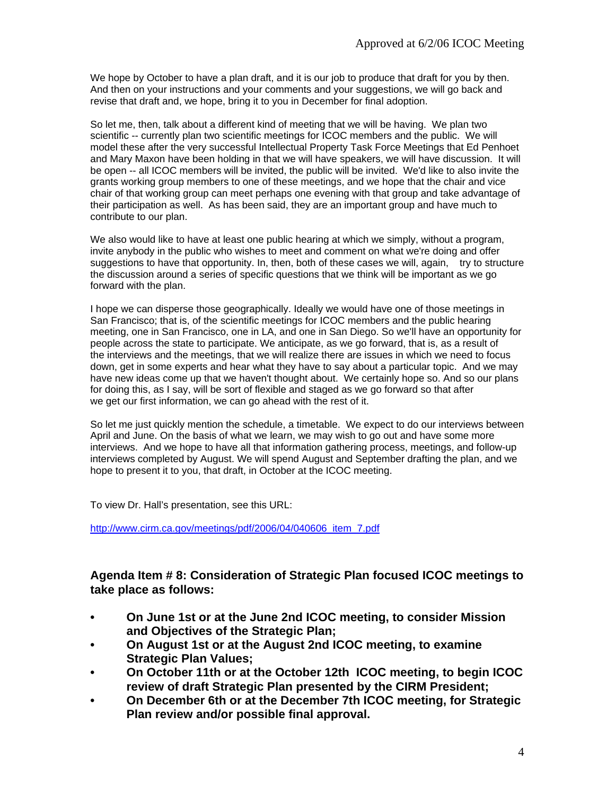We hope by October to have a plan draft, and it is our job to produce that draft for you by then. And then on your instructions and your comments and your suggestions, we will go back and revise that draft and, we hope, bring it to you in December for final adoption.

So let me, then, talk about a different kind of meeting that we will be having. We plan two scientific -- currently plan two scientific meetings for ICOC members and the public. We will model these after the very successful Intellectual Property Task Force Meetings that Ed Penhoet and Mary Maxon have been holding in that we will have speakers, we will have discussion. It will be open -- all ICOC members will be invited, the public will be invited. We'd like to also invite the grants working group members to one of these meetings, and we hope that the chair and vice chair of that working group can meet perhaps one evening with that group and take advantage of their participation as well. As has been said, they are an important group and have much to contribute to our plan.

We also would like to have at least one public hearing at which we simply, without a program, invite anybody in the public who wishes to meet and comment on what we're doing and offer suggestions to have that opportunity. In, then, both of these cases we will, again, try to structure the discussion around a series of specific questions that we think will be important as we go forward with the plan.

I hope we can disperse those geographically. Ideally we would have one of those meetings in San Francisco; that is, of the scientific meetings for ICOC members and the public hearing meeting, one in San Francisco, one in LA, and one in San Diego. So we'll have an opportunity for people across the state to participate. We anticipate, as we go forward, that is, as a result of the interviews and the meetings, that we will realize there are issues in which we need to focus down, get in some experts and hear what they have to say about a particular topic. And we may have new ideas come up that we haven't thought about. We certainly hope so. And so our plans for doing this, as I say, will be sort of flexible and staged as we go forward so that after we get our first information, we can go ahead with the rest of it.

So let me just quickly mention the schedule, a timetable. We expect to do our interviews between April and June. On the basis of what we learn, we may wish to go out and have some more interviews. And we hope to have all that information gathering process, meetings, and follow-up interviews completed by August. We will spend August and September drafting the plan, and we hope to present it to you, that draft, in October at the ICOC meeting.

To view Dr. Hall's presentation, see this URL:

http://www.cirm.ca.gov/meetings/pdf/2006/04/040606\_item\_7.pdf

# **Agenda Item # 8: Consideration of Strategic Plan focused ICOC meetings to take place as follows:**

- **On June 1st or at the June 2nd ICOC meeting, to consider Mission and Objectives of the Strategic Plan;**
- **On August 1st or at the August 2nd ICOC meeting, to examine Strategic Plan Values;**
- **On October 11th or at the October 12th ICOC meeting, to begin ICOC review of draft Strategic Plan presented by the CIRM President;**
- **On December 6th or at the December 7th ICOC meeting, for Strategic Plan review and/or possible final approval.**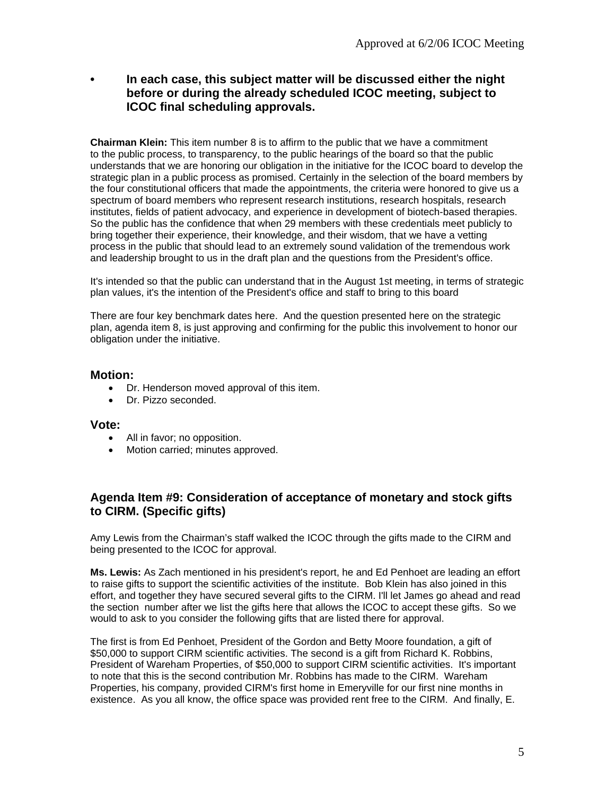**• In each case, this subject matter will be discussed either the night before or during the already scheduled ICOC meeting, subject to ICOC final scheduling approvals.**

**Chairman Klein:** This item number 8 is to affirm to the public that we have a commitment to the public process, to transparency, to the public hearings of the board so that the public understands that we are honoring our obligation in the initiative for the ICOC board to develop the strategic plan in a public process as promised. Certainly in the selection of the board members by the four constitutional officers that made the appointments, the criteria were honored to give us a spectrum of board members who represent research institutions, research hospitals, research institutes, fields of patient advocacy, and experience in development of biotech-based therapies. So the public has the confidence that when 29 members with these credentials meet publicly to bring together their experience, their knowledge, and their wisdom, that we have a vetting process in the public that should lead to an extremely sound validation of the tremendous work and leadership brought to us in the draft plan and the questions from the President's office.

It's intended so that the public can understand that in the August 1st meeting, in terms of strategic plan values, it's the intention of the President's office and staff to bring to this board

There are four key benchmark dates here. And the question presented here on the strategic plan, agenda item 8, is just approving and confirming for the public this involvement to honor our obligation under the initiative.

# **Motion:**

- Dr. Henderson moved approval of this item.
- Dr. Pizzo seconded.

### **Vote:**

- All in favor; no opposition.
- Motion carried; minutes approved.

# **Agenda Item #9: Consideration of acceptance of monetary and stock gifts to CIRM. (Specific gifts)**

Amy Lewis from the Chairman's staff walked the ICOC through the gifts made to the CIRM and being presented to the ICOC for approval.

**Ms. Lewis:** As Zach mentioned in his president's report, he and Ed Penhoet are leading an effort to raise gifts to support the scientific activities of the institute. Bob Klein has also joined in this effort, and together they have secured several gifts to the CIRM. I'll let James go ahead and read the section number after we list the gifts here that allows the ICOC to accept these gifts. So we would to ask to you consider the following gifts that are listed there for approval.

The first is from Ed Penhoet, President of the Gordon and Betty Moore foundation, a gift of \$50,000 to support CIRM scientific activities. The second is a gift from Richard K. Robbins, President of Wareham Properties, of \$50,000 to support CIRM scientific activities. It's important to note that this is the second contribution Mr. Robbins has made to the CIRM. Wareham Properties, his company, provided CIRM's first home in Emeryville for our first nine months in existence. As you all know, the office space was provided rent free to the CIRM. And finally, E.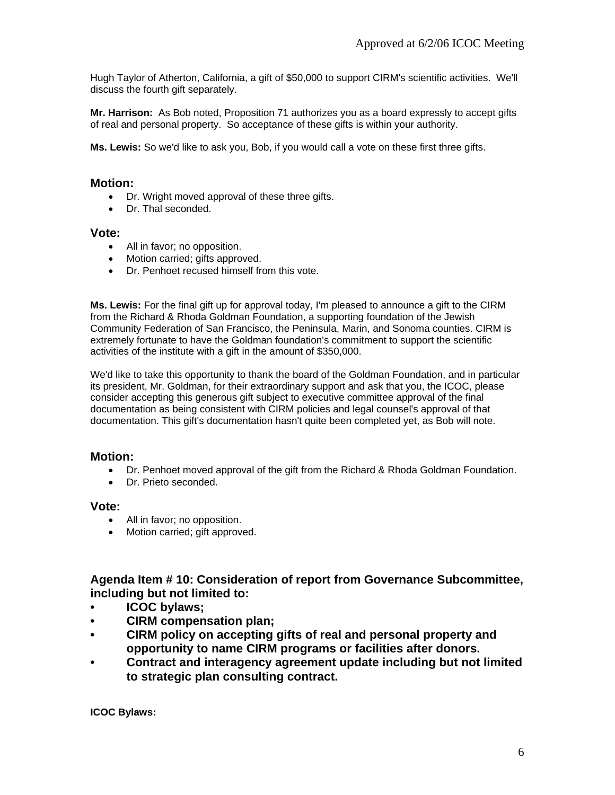Hugh Taylor of Atherton, California, a gift of \$50,000 to support CIRM's scientific activities. We'll discuss the fourth gift separately.

**Mr. Harrison:** As Bob noted, Proposition 71 authorizes you as a board expressly to accept gifts of real and personal property. So acceptance of these gifts is within your authority.

**Ms. Lewis:** So we'd like to ask you, Bob, if you would call a vote on these first three gifts.

### **Motion:**

- Dr. Wright moved approval of these three gifts.
- Dr. Thal seconded.

#### **Vote:**

- All in favor; no opposition.
- Motion carried; gifts approved.
- Dr. Penhoet recused himself from this vote.

**Ms. Lewis:** For the final gift up for approval today, I'm pleased to announce a gift to the CIRM from the Richard & Rhoda Goldman Foundation, a supporting foundation of the Jewish Community Federation of San Francisco, the Peninsula, Marin, and Sonoma counties. CIRM is extremely fortunate to have the Goldman foundation's commitment to support the scientific activities of the institute with a gift in the amount of \$350,000.

We'd like to take this opportunity to thank the board of the Goldman Foundation, and in particular its president, Mr. Goldman, for their extraordinary support and ask that you, the ICOC, please consider accepting this generous gift subject to executive committee approval of the final documentation as being consistent with CIRM policies and legal counsel's approval of that documentation. This gift's documentation hasn't quite been completed yet, as Bob will note.

### **Motion:**

- Dr. Penhoet moved approval of the gift from the Richard & Rhoda Goldman Foundation.
- Dr. Prieto seconded.

### **Vote:**

- All in favor; no opposition.
- Motion carried; gift approved.

**Agenda Item # 10: Consideration of report from Governance Subcommittee, including but not limited to:** 

- **ICOC bylaws;**
- **CIRM compensation plan;**
- **CIRM policy on accepting gifts of real and personal property and opportunity to name CIRM programs or facilities after donors.**
- **Contract and interagency agreement update including but not limited to strategic plan consulting contract.**

**ICOC Bylaws:**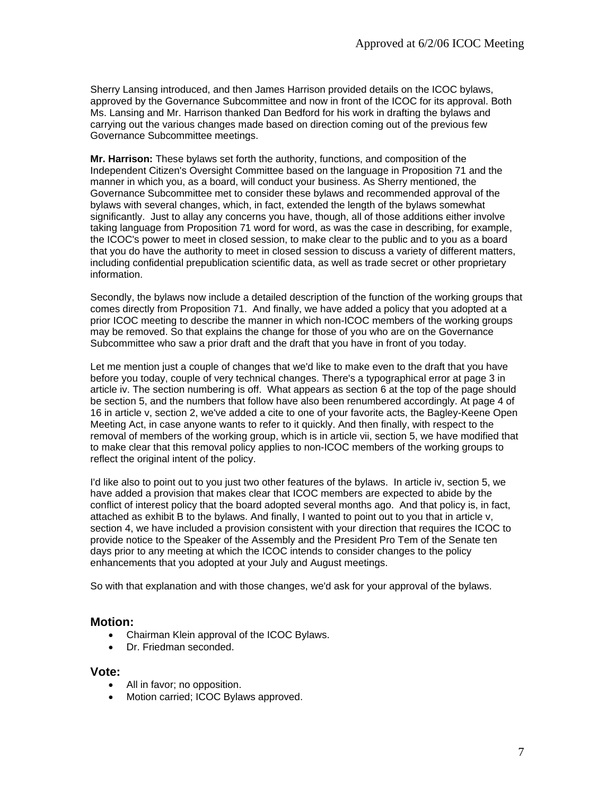Sherry Lansing introduced, and then James Harrison provided details on the ICOC bylaws, approved by the Governance Subcommittee and now in front of the ICOC for its approval. Both Ms. Lansing and Mr. Harrison thanked Dan Bedford for his work in drafting the bylaws and carrying out the various changes made based on direction coming out of the previous few Governance Subcommittee meetings.

**Mr. Harrison:** These bylaws set forth the authority, functions, and composition of the Independent Citizen's Oversight Committee based on the language in Proposition 71 and the manner in which you, as a board, will conduct your business. As Sherry mentioned, the Governance Subcommittee met to consider these bylaws and recommended approval of the bylaws with several changes, which, in fact, extended the length of the bylaws somewhat significantly. Just to allay any concerns you have, though, all of those additions either involve taking language from Proposition 71 word for word, as was the case in describing, for example, the ICOC's power to meet in closed session, to make clear to the public and to you as a board that you do have the authority to meet in closed session to discuss a variety of different matters, including confidential prepublication scientific data, as well as trade secret or other proprietary information.

Secondly, the bylaws now include a detailed description of the function of the working groups that comes directly from Proposition 71. And finally, we have added a policy that you adopted at a prior ICOC meeting to describe the manner in which non-ICOC members of the working groups may be removed. So that explains the change for those of you who are on the Governance Subcommittee who saw a prior draft and the draft that you have in front of you today.

Let me mention just a couple of changes that we'd like to make even to the draft that you have before you today, couple of very technical changes. There's a typographical error at page 3 in article iv. The section numbering is off. What appears as section 6 at the top of the page should be section 5, and the numbers that follow have also been renumbered accordingly. At page 4 of 16 in article v, section 2, we've added a cite to one of your favorite acts, the Bagley-Keene Open Meeting Act, in case anyone wants to refer to it quickly. And then finally, with respect to the removal of members of the working group, which is in article vii, section 5, we have modified that to make clear that this removal policy applies to non-ICOC members of the working groups to reflect the original intent of the policy.

I'd like also to point out to you just two other features of the bylaws. In article iv, section 5, we have added a provision that makes clear that ICOC members are expected to abide by the conflict of interest policy that the board adopted several months ago. And that policy is, in fact, attached as exhibit B to the bylaws. And finally, I wanted to point out to you that in article v, section 4, we have included a provision consistent with your direction that requires the ICOC to provide notice to the Speaker of the Assembly and the President Pro Tem of the Senate ten days prior to any meeting at which the ICOC intends to consider changes to the policy enhancements that you adopted at your July and August meetings.

So with that explanation and with those changes, we'd ask for your approval of the bylaws.

### **Motion:**

- Chairman Klein approval of the ICOC Bylaws.
- Dr. Friedman seconded.

#### **Vote:**

- All in favor; no opposition.
- Motion carried; ICOC Bylaws approved.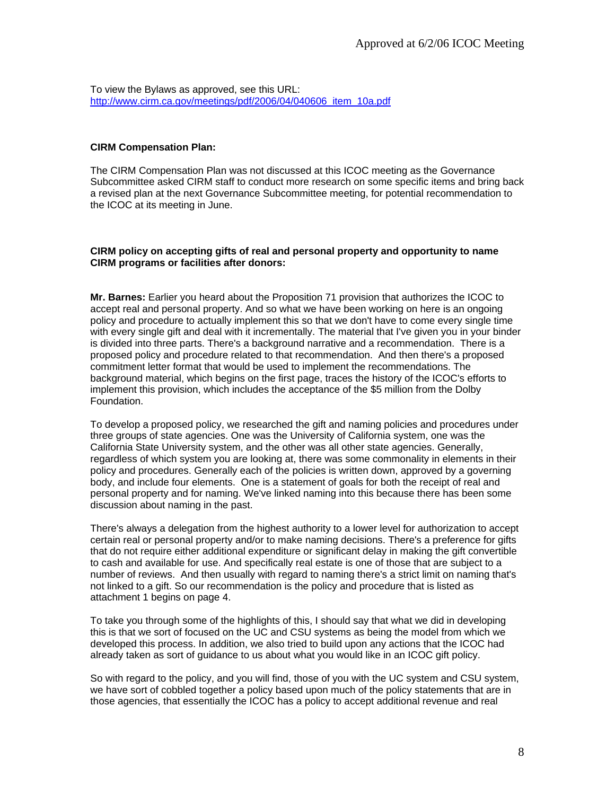To view the Bylaws as approved, see this URL: http://www.cirm.ca.gov/meetings/pdf/2006/04/040606\_item\_10a.pdf

#### **CIRM Compensation Plan:**

The CIRM Compensation Plan was not discussed at this ICOC meeting as the Governance Subcommittee asked CIRM staff to conduct more research on some specific items and bring back a revised plan at the next Governance Subcommittee meeting, for potential recommendation to the ICOC at its meeting in June.

#### **CIRM policy on accepting gifts of real and personal property and opportunity to name CIRM programs or facilities after donors:**

**Mr. Barnes:** Earlier you heard about the Proposition 71 provision that authorizes the ICOC to accept real and personal property. And so what we have been working on here is an ongoing policy and procedure to actually implement this so that we don't have to come every single time with every single gift and deal with it incrementally. The material that I've given you in your binder is divided into three parts. There's a background narrative and a recommendation. There is a proposed policy and procedure related to that recommendation. And then there's a proposed commitment letter format that would be used to implement the recommendations. The background material, which begins on the first page, traces the history of the ICOC's efforts to implement this provision, which includes the acceptance of the \$5 million from the Dolby Foundation.

To develop a proposed policy, we researched the gift and naming policies and procedures under three groups of state agencies. One was the University of California system, one was the California State University system, and the other was all other state agencies. Generally, regardless of which system you are looking at, there was some commonality in elements in their policy and procedures. Generally each of the policies is written down, approved by a governing body, and include four elements. One is a statement of goals for both the receipt of real and personal property and for naming. We've linked naming into this because there has been some discussion about naming in the past.

There's always a delegation from the highest authority to a lower level for authorization to accept certain real or personal property and/or to make naming decisions. There's a preference for gifts that do not require either additional expenditure or significant delay in making the gift convertible to cash and available for use. And specifically real estate is one of those that are subject to a number of reviews. And then usually with regard to naming there's a strict limit on naming that's not linked to a gift. So our recommendation is the policy and procedure that is listed as attachment 1 begins on page 4.

To take you through some of the highlights of this, I should say that what we did in developing this is that we sort of focused on the UC and CSU systems as being the model from which we developed this process. In addition, we also tried to build upon any actions that the ICOC had already taken as sort of guidance to us about what you would like in an ICOC gift policy.

So with regard to the policy, and you will find, those of you with the UC system and CSU system, we have sort of cobbled together a policy based upon much of the policy statements that are in those agencies, that essentially the ICOC has a policy to accept additional revenue and real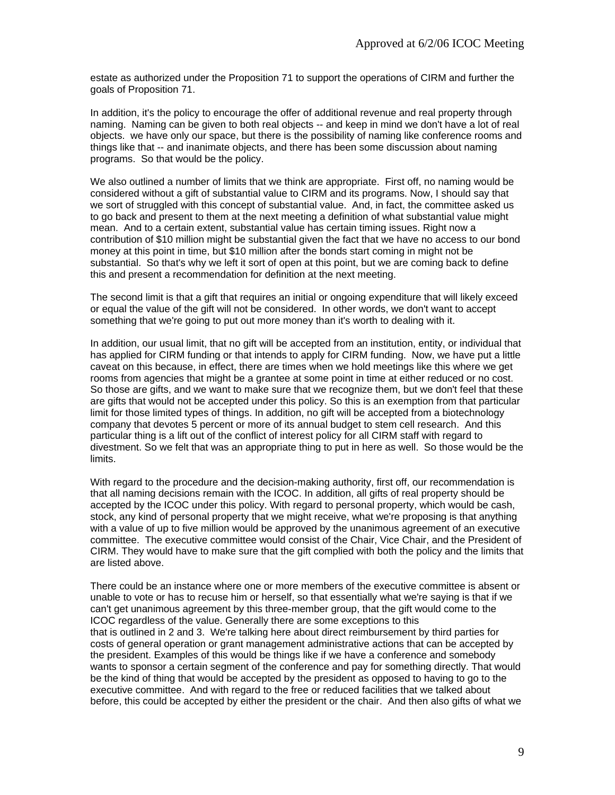estate as authorized under the Proposition 71 to support the operations of CIRM and further the goals of Proposition 71.

In addition, it's the policy to encourage the offer of additional revenue and real property through naming. Naming can be given to both real objects -- and keep in mind we don't have a lot of real objects. we have only our space, but there is the possibility of naming like conference rooms and things like that -- and inanimate objects, and there has been some discussion about naming programs. So that would be the policy.

We also outlined a number of limits that we think are appropriate. First off, no naming would be considered without a gift of substantial value to CIRM and its programs. Now, I should say that we sort of struggled with this concept of substantial value. And, in fact, the committee asked us to go back and present to them at the next meeting a definition of what substantial value might mean. And to a certain extent, substantial value has certain timing issues. Right now a contribution of \$10 million might be substantial given the fact that we have no access to our bond money at this point in time, but \$10 million after the bonds start coming in might not be substantial. So that's why we left it sort of open at this point, but we are coming back to define this and present a recommendation for definition at the next meeting.

The second limit is that a gift that requires an initial or ongoing expenditure that will likely exceed or equal the value of the gift will not be considered. In other words, we don't want to accept something that we're going to put out more money than it's worth to dealing with it.

In addition, our usual limit, that no gift will be accepted from an institution, entity, or individual that has applied for CIRM funding or that intends to apply for CIRM funding. Now, we have put a little caveat on this because, in effect, there are times when we hold meetings like this where we get rooms from agencies that might be a grantee at some point in time at either reduced or no cost. So those are gifts, and we want to make sure that we recognize them, but we don't feel that these are gifts that would not be accepted under this policy. So this is an exemption from that particular limit for those limited types of things. In addition, no gift will be accepted from a biotechnology company that devotes 5 percent or more of its annual budget to stem cell research. And this particular thing is a lift out of the conflict of interest policy for all CIRM staff with regard to divestment. So we felt that was an appropriate thing to put in here as well. So those would be the limits.

With regard to the procedure and the decision-making authority, first off, our recommendation is that all naming decisions remain with the ICOC. In addition, all gifts of real property should be accepted by the ICOC under this policy. With regard to personal property, which would be cash, stock, any kind of personal property that we might receive, what we're proposing is that anything with a value of up to five million would be approved by the unanimous agreement of an executive committee. The executive committee would consist of the Chair, Vice Chair, and the President of CIRM. They would have to make sure that the gift complied with both the policy and the limits that are listed above.

There could be an instance where one or more members of the executive committee is absent or unable to vote or has to recuse him or herself, so that essentially what we're saying is that if we can't get unanimous agreement by this three-member group, that the gift would come to the ICOC regardless of the value. Generally there are some exceptions to this that is outlined in 2 and 3. We're talking here about direct reimbursement by third parties for costs of general operation or grant management administrative actions that can be accepted by the president. Examples of this would be things like if we have a conference and somebody wants to sponsor a certain segment of the conference and pay for something directly. That would be the kind of thing that would be accepted by the president as opposed to having to go to the executive committee. And with regard to the free or reduced facilities that we talked about before, this could be accepted by either the president or the chair. And then also gifts of what we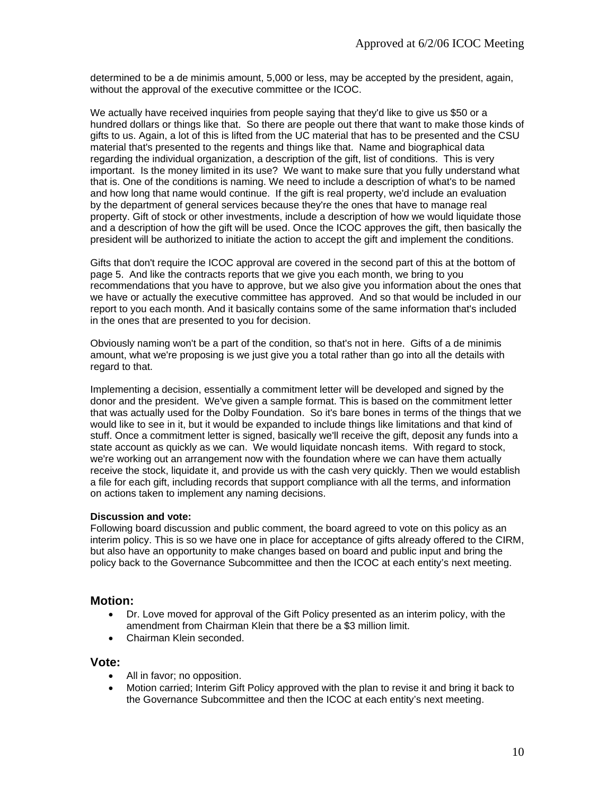determined to be a de minimis amount, 5,000 or less, may be accepted by the president, again, without the approval of the executive committee or the ICOC.

We actually have received inquiries from people saying that they'd like to give us \$50 or a hundred dollars or things like that. So there are people out there that want to make those kinds of gifts to us. Again, a lot of this is lifted from the UC material that has to be presented and the CSU material that's presented to the regents and things like that. Name and biographical data regarding the individual organization, a description of the gift, list of conditions. This is very important. Is the money limited in its use? We want to make sure that you fully understand what that is. One of the conditions is naming. We need to include a description of what's to be named and how long that name would continue. If the gift is real property, we'd include an evaluation by the department of general services because they're the ones that have to manage real property. Gift of stock or other investments, include a description of how we would liquidate those and a description of how the gift will be used. Once the ICOC approves the gift, then basically the president will be authorized to initiate the action to accept the gift and implement the conditions.

Gifts that don't require the ICOC approval are covered in the second part of this at the bottom of page 5. And like the contracts reports that we give you each month, we bring to you recommendations that you have to approve, but we also give you information about the ones that we have or actually the executive committee has approved. And so that would be included in our report to you each month. And it basically contains some of the same information that's included in the ones that are presented to you for decision.

Obviously naming won't be a part of the condition, so that's not in here. Gifts of a de minimis amount, what we're proposing is we just give you a total rather than go into all the details with regard to that.

Implementing a decision, essentially a commitment letter will be developed and signed by the donor and the president. We've given a sample format. This is based on the commitment letter that was actually used for the Dolby Foundation. So it's bare bones in terms of the things that we would like to see in it, but it would be expanded to include things like limitations and that kind of stuff. Once a commitment letter is signed, basically we'll receive the gift, deposit any funds into a state account as quickly as we can. We would liquidate noncash items. With regard to stock, we're working out an arrangement now with the foundation where we can have them actually receive the stock, liquidate it, and provide us with the cash very quickly. Then we would establish a file for each gift, including records that support compliance with all the terms, and information on actions taken to implement any naming decisions.

#### **Discussion and vote:**

Following board discussion and public comment, the board agreed to vote on this policy as an interim policy. This is so we have one in place for acceptance of gifts already offered to the CIRM, but also have an opportunity to make changes based on board and public input and bring the policy back to the Governance Subcommittee and then the ICOC at each entity's next meeting.

### **Motion:**

- Dr. Love moved for approval of the Gift Policy presented as an interim policy, with the amendment from Chairman Klein that there be a \$3 million limit.
- Chairman Klein seconded.

#### **Vote:**

- All in favor: no opposition.
- Motion carried; Interim Gift Policy approved with the plan to revise it and bring it back to the Governance Subcommittee and then the ICOC at each entity's next meeting.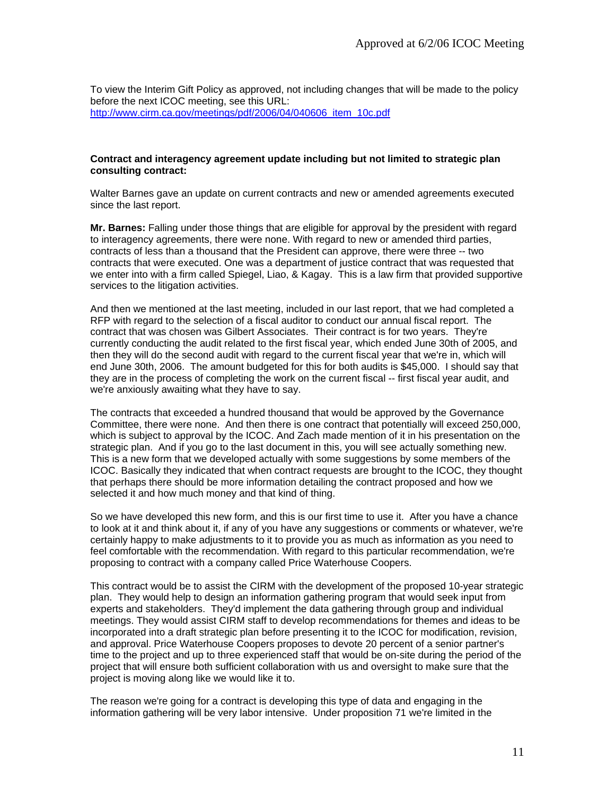To view the Interim Gift Policy as approved, not including changes that will be made to the policy before the next ICOC meeting, see this URL: [http://www.cirm.ca.gov/meetings/pdf/2006/04/040606\\_item\\_10c.pdf](http://www.cirm.ca.gov/meetings/pdf/2006/04/040606_item_10c.pdf)

#### **Contract and interagency agreement update including but not limited to strategic plan consulting contract:**

Walter Barnes gave an update on current contracts and new or amended agreements executed since the last report.

**Mr. Barnes:** Falling under those things that are eligible for approval by the president with regard to interagency agreements, there were none. With regard to new or amended third parties, contracts of less than a thousand that the President can approve, there were three -- two contracts that were executed. One was a department of justice contract that was requested that we enter into with a firm called Spiegel, Liao, & Kagay. This is a law firm that provided supportive services to the litigation activities.

And then we mentioned at the last meeting, included in our last report, that we had completed a RFP with regard to the selection of a fiscal auditor to conduct our annual fiscal report. The contract that was chosen was Gilbert Associates. Their contract is for two years. They're currently conducting the audit related to the first fiscal year, which ended June 30th of 2005, and then they will do the second audit with regard to the current fiscal year that we're in, which will end June 30th, 2006. The amount budgeted for this for both audits is \$45,000. I should say that they are in the process of completing the work on the current fiscal -- first fiscal year audit, and we're anxiously awaiting what they have to say.

The contracts that exceeded a hundred thousand that would be approved by the Governance Committee, there were none. And then there is one contract that potentially will exceed 250,000, which is subject to approval by the ICOC. And Zach made mention of it in his presentation on the strategic plan. And if you go to the last document in this, you will see actually something new. This is a new form that we developed actually with some suggestions by some members of the ICOC. Basically they indicated that when contract requests are brought to the ICOC, they thought that perhaps there should be more information detailing the contract proposed and how we selected it and how much money and that kind of thing.

So we have developed this new form, and this is our first time to use it. After you have a chance to look at it and think about it, if any of you have any suggestions or comments or whatever, we're certainly happy to make adjustments to it to provide you as much as information as you need to feel comfortable with the recommendation. With regard to this particular recommendation, we're proposing to contract with a company called Price Waterhouse Coopers.

This contract would be to assist the CIRM with the development of the proposed 10-year strategic plan. They would help to design an information gathering program that would seek input from experts and stakeholders. They'd implement the data gathering through group and individual meetings. They would assist CIRM staff to develop recommendations for themes and ideas to be incorporated into a draft strategic plan before presenting it to the ICOC for modification, revision, and approval. Price Waterhouse Coopers proposes to devote 20 percent of a senior partner's time to the project and up to three experienced staff that would be on-site during the period of the project that will ensure both sufficient collaboration with us and oversight to make sure that the project is moving along like we would like it to.

The reason we're going for a contract is developing this type of data and engaging in the information gathering will be very labor intensive. Under proposition 71 we're limited in the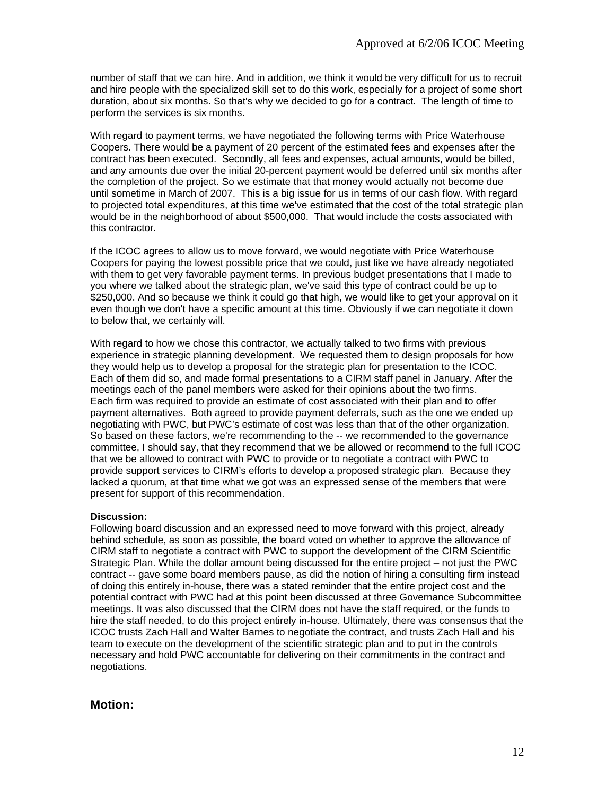number of staff that we can hire. And in addition, we think it would be very difficult for us to recruit and hire people with the specialized skill set to do this work, especially for a project of some short duration, about six months. So that's why we decided to go for a contract. The length of time to perform the services is six months.

With regard to payment terms, we have negotiated the following terms with Price Waterhouse Coopers. There would be a payment of 20 percent of the estimated fees and expenses after the contract has been executed. Secondly, all fees and expenses, actual amounts, would be billed, and any amounts due over the initial 20-percent payment would be deferred until six months after the completion of the project. So we estimate that that money would actually not become due until sometime in March of 2007. This is a big issue for us in terms of our cash flow. With regard to projected total expenditures, at this time we've estimated that the cost of the total strategic plan would be in the neighborhood of about \$500,000. That would include the costs associated with this contractor.

If the ICOC agrees to allow us to move forward, we would negotiate with Price Waterhouse Coopers for paying the lowest possible price that we could, just like we have already negotiated with them to get very favorable payment terms. In previous budget presentations that I made to you where we talked about the strategic plan, we've said this type of contract could be up to \$250,000. And so because we think it could go that high, we would like to get your approval on it even though we don't have a specific amount at this time. Obviously if we can negotiate it down to below that, we certainly will.

With regard to how we chose this contractor, we actually talked to two firms with previous experience in strategic planning development. We requested them to design proposals for how they would help us to develop a proposal for the strategic plan for presentation to the ICOC. Each of them did so, and made formal presentations to a CIRM staff panel in January. After the meetings each of the panel members were asked for their opinions about the two firms. Each firm was required to provide an estimate of cost associated with their plan and to offer payment alternatives. Both agreed to provide payment deferrals, such as the one we ended up negotiating with PWC, but PWC's estimate of cost was less than that of the other organization. So based on these factors, we're recommending to the -- we recommended to the governance committee, I should say, that they recommend that we be allowed or recommend to the full ICOC that we be allowed to contract with PWC to provide or to negotiate a contract with PWC to provide support services to CIRM's efforts to develop a proposed strategic plan. Because they lacked a quorum, at that time what we got was an expressed sense of the members that were present for support of this recommendation.

#### **Discussion:**

Following board discussion and an expressed need to move forward with this project, already behind schedule, as soon as possible, the board voted on whether to approve the allowance of CIRM staff to negotiate a contract with PWC to support the development of the CIRM Scientific Strategic Plan. While the dollar amount being discussed for the entire project – not just the PWC contract -- gave some board members pause, as did the notion of hiring a consulting firm instead of doing this entirely in-house, there was a stated reminder that the entire project cost and the potential contract with PWC had at this point been discussed at three Governance Subcommittee meetings. It was also discussed that the CIRM does not have the staff required, or the funds to hire the staff needed, to do this project entirely in-house. Ultimately, there was consensus that the ICOC trusts Zach Hall and Walter Barnes to negotiate the contract, and trusts Zach Hall and his team to execute on the development of the scientific strategic plan and to put in the controls necessary and hold PWC accountable for delivering on their commitments in the contract and negotiations.

# **Motion:**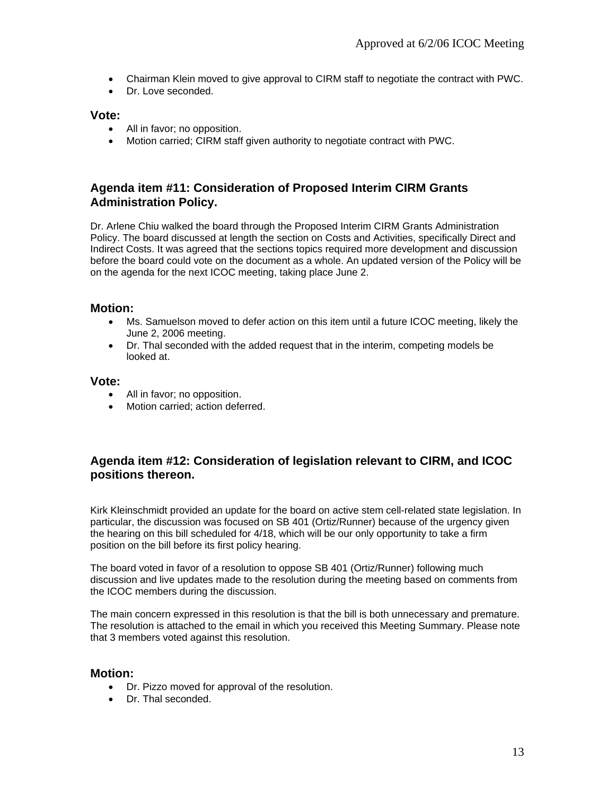- Chairman Klein moved to give approval to CIRM staff to negotiate the contract with PWC.
- Dr. Love seconded

### **Vote:**

- All in favor; no opposition.
- Motion carried; CIRM staff given authority to negotiate contract with PWC.

# **Agenda item #11: Consideration of Proposed Interim CIRM Grants Administration Policy.**

Dr. Arlene Chiu walked the board through the Proposed Interim CIRM Grants Administration Policy. The board discussed at length the section on Costs and Activities, specifically Direct and Indirect Costs. It was agreed that the sections topics required more development and discussion before the board could vote on the document as a whole. An updated version of the Policy will be on the agenda for the next ICOC meeting, taking place June 2.

### **Motion:**

- Ms. Samuelson moved to defer action on this item until a future ICOC meeting, likely the June 2, 2006 meeting.
- Dr. Thal seconded with the added request that in the interim, competing models be looked at.

#### **Vote:**

- All in favor; no opposition.
- Motion carried; action deferred.

# **Agenda item #12: Consideration of legislation relevant to CIRM, and ICOC positions thereon.**

Kirk Kleinschmidt provided an update for the board on active stem cell-related state legislation. In particular, the discussion was focused on SB 401 (Ortiz/Runner) because of the urgency given the hearing on this bill scheduled for 4/18, which will be our only opportunity to take a firm position on the bill before its first policy hearing.

The board voted in favor of a resolution to oppose SB 401 (Ortiz/Runner) following much discussion and live updates made to the resolution during the meeting based on comments from the ICOC members during the discussion.

The main concern expressed in this resolution is that the bill is both unnecessary and premature. The resolution is attached to the email in which you received this Meeting Summary. Please note that 3 members voted against this resolution.

### **Motion:**

- Dr. Pizzo moved for approval of the resolution.
- Dr. Thal seconded.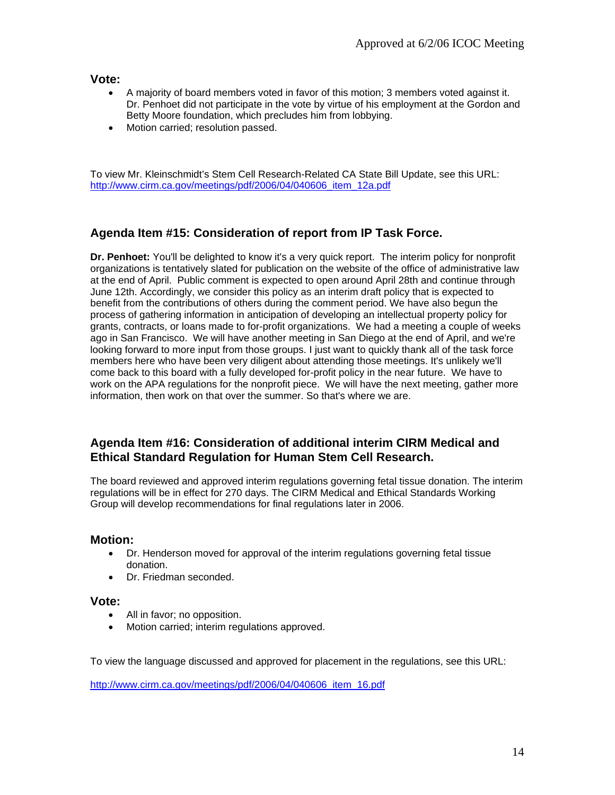**Vote:** 

- A majority of board members voted in favor of this motion; 3 members voted against it. Dr. Penhoet did not participate in the vote by virtue of his employment at the Gordon and Betty Moore foundation, which precludes him from lobbying.
- Motion carried; resolution passed.

To view Mr. Kleinschmidt's Stem Cell Research-Related CA State Bill Update, see this URL: http://www.cirm.ca.gov/meetings/pdf/2006/04/040606\_item\_12a.pdf

# **Agenda Item #15: Consideration of report from IP Task Force.**

**Dr. Penhoet:** You'll be delighted to know it's a very quick report. The interim policy for nonprofit organizations is tentatively slated for publication on the website of the office of administrative law at the end of April. Public comment is expected to open around April 28th and continue through June 12th. Accordingly, we consider this policy as an interim draft policy that is expected to benefit from the contributions of others during the comment period. We have also begun the process of gathering information in anticipation of developing an intellectual property policy for grants, contracts, or loans made to for-profit organizations. We had a meeting a couple of weeks ago in San Francisco. We will have another meeting in San Diego at the end of April, and we're looking forward to more input from those groups. I just want to quickly thank all of the task force members here who have been very diligent about attending those meetings. It's unlikely we'll come back to this board with a fully developed for-profit policy in the near future. We have to work on the APA regulations for the nonprofit piece. We will have the next meeting, gather more information, then work on that over the summer. So that's where we are.

# **Agenda Item #16: Consideration of additional interim CIRM Medical and Ethical Standard Regulation for Human Stem Cell Research.**

The board reviewed and approved interim regulations governing fetal tissue donation. The interim regulations will be in effect for 270 days. The CIRM Medical and Ethical Standards Working Group will develop recommendations for final regulations later in 2006.

### **Motion:**

- Dr. Henderson moved for approval of the interim regulations governing fetal tissue donation.
- Dr. Friedman seconded.

#### **Vote:**

- All in favor; no opposition.
- Motion carried; interim regulations approved.

To view the language discussed and approved for placement in the regulations, see this URL:

[http://www.cirm.ca.gov/meetings/pdf/2006/04/040606\\_item\\_16.pdf](http://www.cirm.ca.gov/meetings/pdf/2006/04/040606_item_16.pdf)